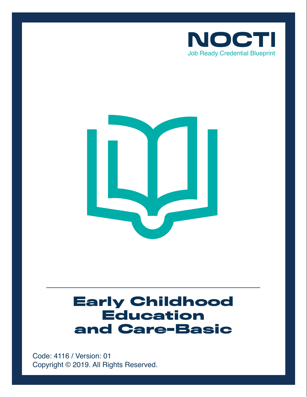



# **Early Childhood Education and Care-Basic**

Copyright © 2019. All Rights Reserved. Code: 4116 / Version: 01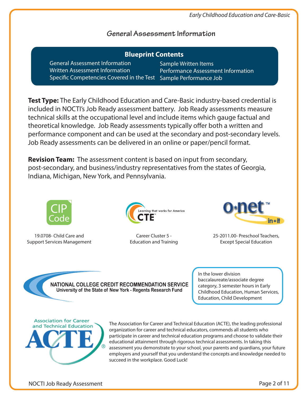## **General Assessment Information**

| <b>Blueprint Contents</b>                                                                                                                   |                                                            |
|---------------------------------------------------------------------------------------------------------------------------------------------|------------------------------------------------------------|
| <b>General Assessment Information</b><br>Written Assessment Information<br>Specific Competencies Covered in the Test Sample Performance Job | Sample Written Items<br>Performance Assessment Information |

**Test Type:** The Early Childhood Education and Care-Basic industry-based credential is included in NOCTI's Job Ready assessment battery. Job Ready assessments measure technical skills at the occupational level and include items which gauge factual and theoretical knowledge. Job Ready assessments typically offer both a written and performance component and can be used at the secondary and post-secondary levels. Job Ready assessments can be delivered in an online or paper/pencil format.

**Revision Team:** The assessment content is based on input from secondary, post-secondary, and business/industry representatives from the states of Georgia, Indiana, Michigan, New York, and Pennsylvania.



19.0708- Child Care and Support Services Management



Career Cluster 5 - Education and Training



25-2011.00- Preschool Teachers, Except Special Education



In the lower division baccalaureate/associate degree category, 3 semester hours in Early Childhood Education, Human Services, Education, Child Development



The Association for Career and Technical Education (ACTE), the leading professional organization for career and technical educators, commends all students who participate in career and technical education programs and choose to validate their educational attainment through rigorous technical assessments. In taking this assessment you demonstrate to your school, your parents and guardians, your future employers and yourself that you understand the concepts and knowledge needed to succeed in the workplace. Good Luck!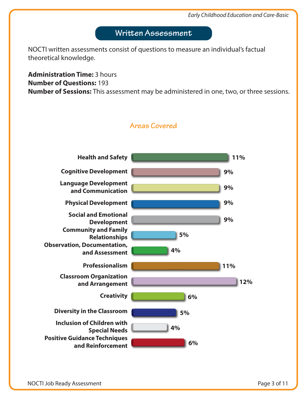# **Written Assessment**

NOCTI written assessments consist of questions to measure an individual's factual theoretical knowledge.

**Administration Time:** 3 hours **Number of Questions:** 193 **Number of Sessions:** This assessment may be administered in one, two, or three sessions.



**Areas Covered**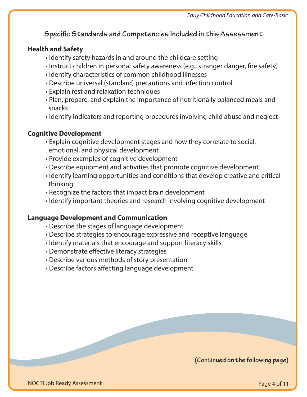**Specific Standards and Competencies Included in this Assessment** 

## **Health and Safety**

- Identify safety hazards in and around the childcare setting
- Instruct children in personal safety awareness (e.g., stranger danger, fire safety)
- Identify characteristics of common childhood illnesses
- Describe universal (standard) precautions and infection control
- Explain rest and relaxation techniques
- Plan, prepare, and explain the importance of nutritionally balanced meals and snacks
- Identify indicators and reporting procedures involving child abuse and neglect

## **Cognitive Development**

- Explain cognitive development stages and how they correlate to social, emotional, and physical development
- Provide examples of cognitive development
- Describe equipment and activities that promote cognitive development
- Identify learning opportunities and conditions that develop creative and critical thinking
- Recognize the factors that impact brain development
- Identify important theories and research involving cognitive development

## **Language Development and Communication**

- Describe the stages of language development
- Describe strategies to encourage expressive and receptive language
- Identify materials that encourage and support literacy skills
- Demonstrate effective literacy strategies
- Describe various methods of story presentation
- Describe factors affecting language development

**(Continued on the following page)**

NOCTI Job Ready Assessment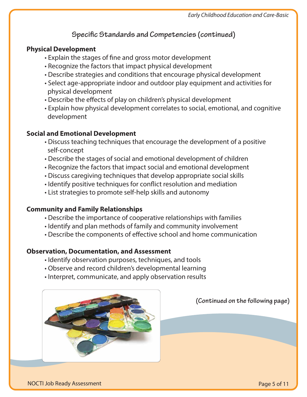# **Specific Standards and Competencies (continued)**

## **Physical Development**

- Explain the stages of fine and gross motor development
- Recognize the factors that impact physical development
- Describe strategies and conditions that encourage physical development
- Select age-appropriate indoor and outdoor play equipment and activities for physical development
- Describe the effects of play on children's physical development
- Explain how physical development correlates to social, emotional, and cognitive development

## **Social and Emotional Development**

- Discuss teaching techniques that encourage the development of a positive self-concept
- Describe the stages of social and emotional development of children
- Recognize the factors that impact social and emotional development
- Discuss caregiving techniques that develop appropriate social skills
- Identify positive techniques for conflict resolution and mediation
- List strategies to promote self-help skills and autonomy

## **Community and Family Relationships**

- Describe the importance of cooperative relationships with families
- Identify and plan methods of family and community involvement
- Describe the components of effective school and home communication

## **Observation, Documentation, and Assessment**

- Identify observation purposes, techniques, and tools
- Observe and record children's developmental learning
- Interpret, communicate, and apply observation results



**(Continued on the following page)**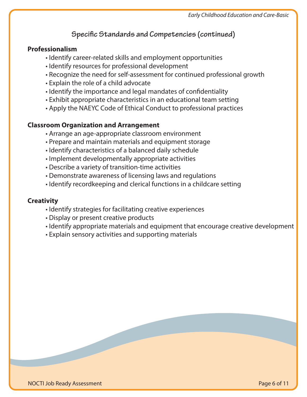## **Specific Standards and Competencies (continued)**

#### **Professionalism**

- Identify career-related skills and employment opportunities
- Identify resources for professional development
- Recognize the need for self-assessment for continued professional growth
- Explain the role of a child advocate
- Identify the importance and legal mandates of confidentiality
- Exhibit appropriate characteristics in an educational team setting
- Apply the NAEYC Code of Ethical Conduct to professional practices

## **Classroom Organization and Arrangement**

- Arrange an age-appropriate classroom environment
- Prepare and maintain materials and equipment storage
- Identify characteristics of a balanced daily schedule
- Implement developmentally appropriate activities
- Describe a variety of transition-time activities
- Demonstrate awareness of licensing laws and regulations
- Identify recordkeeping and clerical functions in a childcare setting

## **Creativity**

- Identify strategies for facilitating creative experiences
- Display or present creative products
- Identify appropriate materials and equipment that encourage creative development
- Explain sensory activities and supporting materials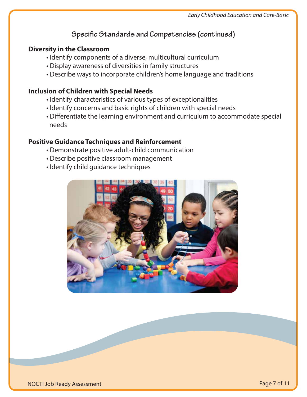# **Specific Standards and Competencies (continued)**

## **Diversity in the Classroom**

- Identify components of a diverse, multicultural curriculum
- Display awareness of diversities in family structures
- Describe ways to incorporate children's home language and traditions

## **Inclusion of Children with Special Needs**

- Identify characteristics of various types of exceptionalities
- Identify concerns and basic rights of children with special needs
- Differentiate the learning environment and curriculum to accommodate special needs

## **Positive Guidance Techniques and Reinforcement**

- Demonstrate positive adult-child communication
- Describe positive classroom management
- Identify child guidance techniques

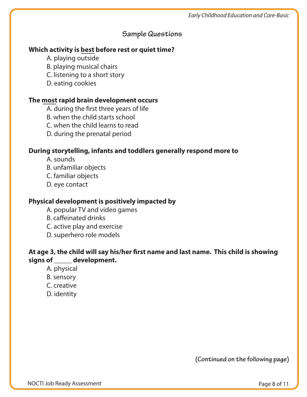## **Sample Questions**

## **Which activity is best before rest or quiet time?**

- A. playing outside
- B. playing musical chairs
- C. listening to a short story
- D. eating cookies

## **The most rapid brain development occurs**

- A. during the first three years of life
- B. when the child starts school
- C. when the child learns to read
- D. during the prenatal period

## **During storytelling, infants and toddlers generally respond more to**

- A. sounds
- B. unfamiliar objects
- C. familiar objects
- D. eye contact

## **Physical development is positively impacted by**

- A. popular TV and video games
- B. caffeinated drinks
- C. active play and exercise
- D. superhero role models

## At age 3, the child will say his/her first name and last name. This child is showing **signs of \_\_\_\_\_ development.**

- A. physical
- B. sensory
- C. creative
- D. identity

**(Continued on the following page)**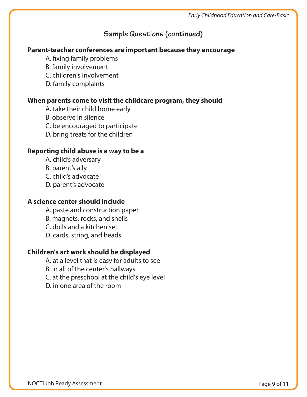## **Sample Questions (continued)**

#### **Parent-teacher conferences are important because they encourage**

- A. fixing family problems
- B. family involvement
- C. children's involvement
- D. family complaints

#### **When parents come to visit the childcare program, they should**

- A. take their child home early
- B. observe in silence
- C. be encouraged to participate
- D. bring treats for the children

#### **Reporting child abuse is a way to be a**

- A. child's adversary
- B. parent's ally
- C. child's advocate
- D. parent's advocate

#### **A science center should include**

- A. paste and construction paper
- B. magnets, rocks, and shells
- C. dolls and a kitchen set
- D. cards, string, and beads

## **Children's art work should be displayed**

- A. at a level that is easy for adults to see
- B. in all of the center's hallways
- C. at the preschool at the child's eye level
- D. in one area of the room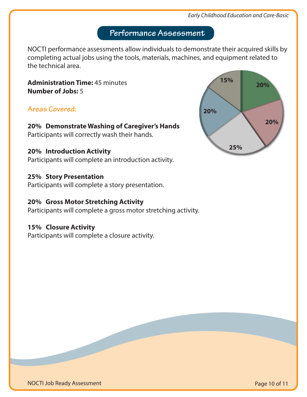#### *Early Childhood Education and Care-Basic*

# **Performance Assessment**

NOCTI performance assessments allow individuals to demonstrate their acquired skills by completing actual jobs using the tools, materials, machines, and equipment related to the technical area.

**Administration Time:** 45 minutes **Number of Jobs:** 5

## **Areas Covered:**

**20% Demonstrate Washing of Caregiver's Hands** Participants will correctly wash their hands.

#### **20% Introduction Activity**

Participants will complete an introduction activity.

#### **25% Story Presentation**

Participants will complete a story presentation.

## **20% Gross Motor Stretching Activity**

Participants will complete a gross motor stretching activity.

#### **15% Closure Activity**

Participants will complete a closure activity.



NOCTI Job Ready Assessment